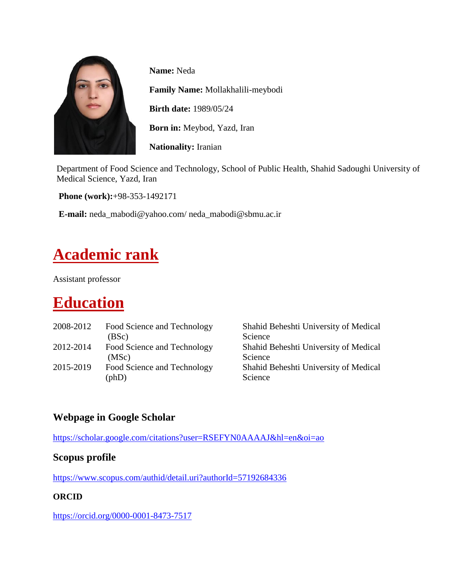

**Name:** Neda

**Family Name:** Mollakhalili-meybodi

**Birth date:** 1989/05/24

**Born in:** Meybod, Yazd, Iran

**Nationality:** Iranian

Department of Food Science and Technology, School of Public Health, Shahid Sadoughi University of Medical Science, Yazd, Iran

**Phone (work):**+98-353-1492171

**E-mail:** neda\_mabodi@yahoo.com/ neda\_mabodi@sbmu.ac.ir

# **Academic rank**

Assistant professor

# **Education**

| 2008-2012 | Food Science and Technology<br>(BSc)          | Shahid Beheshti University of Medical<br>Science |
|-----------|-----------------------------------------------|--------------------------------------------------|
| 2012-2014 | Food Science and Technology<br>(MSc)          | Shahid Beheshti University of Medical<br>Science |
| 2015-2019 | Food Science and Technology<br>$(\text{phD})$ | Shahid Beheshti University of Medical<br>Science |

### **Webpage in Google Scholar**

<https://scholar.google.com/citations?user=RSEFYN0AAAAJ&hl=en&oi=ao>

#### **Scopus profile**

<https://www.scopus.com/authid/detail.uri?authorId=57192684336>

#### **ORCID**

<https://orcid.org/0000-0001-8473-7517>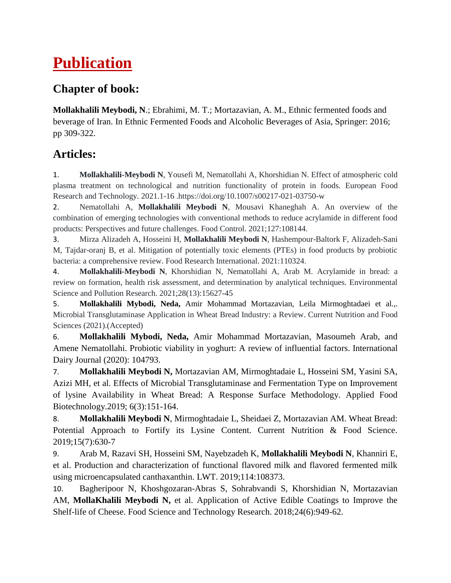# **Publication**

### **Chapter of book:**

**Mollakhalili Meybodi, N**.; Ebrahimi, M. T.; Mortazavian, A. M., Ethnic fermented foods and beverage of Iran. In Ethnic Fermented Foods and Alcoholic Beverages of Asia, Springer: 2016; pp 309-322.

### **Articles:**

1. **Mollakhalili-Meybodi N**, Yousefi M, Nematollahi A, Khorshidian N. Effect of atmospheric cold plasma treatment on technological and nutrition functionality of protein in foods. European Food Research and Technology. 2021.1-1[6 .https://doi.org/10.1007/s00217-021-03750-w](https://doi.org/10.1007/s00217-021-03750-w)

2. Nematollahi A, **Mollakhalili Meybodi N**, Mousavi Khaneghah A. An overview of the combination of emerging technologies with conventional methods to reduce acrylamide in different food products: Perspectives and future challenges. Food Control. 2021;127:108144.

3. Mirza Alizadeh A, Hosseini H, **Mollakhalili Meybodi N**, Hashempour-Baltork F, Alizadeh-Sani M, Tajdar-oranj B, et al. Mitigation of potentially toxic elements (PTEs) in food products by probiotic bacteria: a comprehensive review. Food Research International. 2021:110324.

4. **Mollakhalili-Meybodi N**, Khorshidian N, Nematollahi A, Arab M. Acrylamide in bread: a review on formation, health risk assessment, and determination by analytical techniques. Environmental Science and Pollution Research. 2021;28(13):15627-45

5. **Mollakhalili Mybodi, Neda,** Amir Mohammad Mortazavian, Leila Mirmoghtadaei et al.,. Microbial Transglutaminase Application in Wheat Bread Industry: a Review. Current Nutrition and Food Sciences (2021).(Accepted)

6. **Mollakhalili Mybodi, Neda,** Amir Mohammad Mortazavian, Masoumeh Arab, and Amene Nematollahi. Probiotic viability in yoghurt: A review of influential factors. International Dairy Journal (2020): 104793.

7. **Mollakhalili Meybodi N,** Mortazavian AM, Mirmoghtadaie L, Hosseini SM, Yasini SA, Azizi MH, et al. Effects of Microbial Transglutaminase and Fermentation Type on Improvement of lysine Availability in Wheat Bread: A Response Surface Methodology. Applied Food Biotechnology.2019; 6(3):151-164.

8. **Mollakhalili Meybodi N**, Mirmoghtadaie L, Sheidaei Z, Mortazavian AM. Wheat Bread: Potential Approach to Fortify its Lysine Content. Current Nutrition & Food Science. 2019;15(7):630-7

9. Arab M, Razavi SH, Hosseini SM, Nayebzadeh K, **Mollakhalili Meybodi N**, Khanniri E, et al. Production and characterization of functional flavored milk and flavored fermented milk using microencapsulated canthaxanthin. LWT. 2019;114:108373.

10. Bagheripoor N, Khoshgozaran-Abras S, Sohrabvandi S, Khorshidian N, Mortazavian AM, **MollaKhalili Meybodi N,** et al. Application of Active Edible Coatings to Improve the Shelf-life of Cheese. Food Science and Technology Research. 2018;24(6):949-62.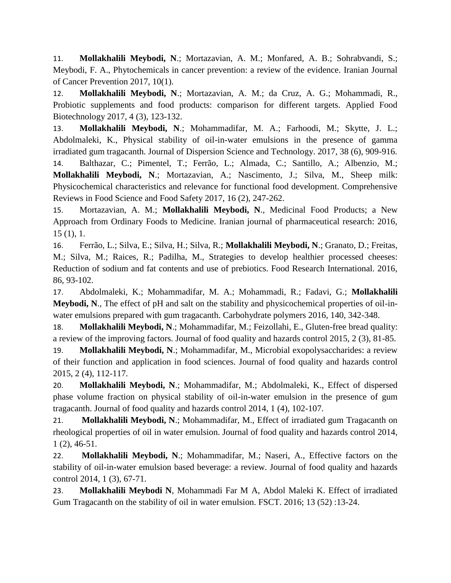11. **Mollakhalili Meybodi, N**.; Mortazavian, A. M.; Monfared, A. B.; Sohrabvandi, S.; Meybodi, F. A., Phytochemicals in cancer prevention: a review of the evidence. Iranian Journal of Cancer Prevention 2017, 10(1).

12. **Mollakhalili Meybodi, N**.; Mortazavian, A. M.; da Cruz, A. G.; Mohammadi, R., Probiotic supplements and food products: comparison for different targets. Applied Food Biotechnology 2017, 4 (3), 123-132.

13. **Mollakhalili Meybodi, N**.; Mohammadifar, M. A.; Farhoodi, M.; Skytte, J. L.; Abdolmaleki, K., Physical stability of oil-in-water emulsions in the presence of gamma irradiated gum tragacanth. Journal of Dispersion Science and Technology. 2017, 38 (6), 909-916.

14. Balthazar, C.; Pimentel, T.; Ferrão, L.; Almada, C.; Santillo, A.; Albenzio, M.; **Mollakhalili Meybodi, N**.; Mortazavian, A.; Nascimento, J.; Silva, M., Sheep milk: Physicochemical characteristics and relevance for functional food development. Comprehensive Reviews in Food Science and Food Safety 2017, 16 (2), 247-262.

15. Mortazavian, A. M.; **Mollakhalili Meybodi, N**., Medicinal Food Products; a New Approach from Ordinary Foods to Medicine. Iranian journal of pharmaceutical research: 2016, 15 (1), 1.

16. Ferrão, L.; Silva, E.; Silva, H.; Silva, R.; **Mollakhalili Meybodi, N**.; Granato, D.; Freitas, M.; Silva, M.; Raices, R.; Padilha, M., Strategies to develop healthier processed cheeses: Reduction of sodium and fat contents and use of prebiotics. Food Research International. 2016, 86, 93-102.

17. Abdolmaleki, K.; Mohammadifar, M. A.; Mohammadi, R.; Fadavi, G.; **Mollakhalili Meybodi, N**., The effect of pH and salt on the stability and physicochemical properties of oil-inwater emulsions prepared with gum tragacanth. Carbohydrate polymers 2016, 140, 342-348.

18. **Mollakhalili Meybodi, N**.; Mohammadifar, M.; Feizollahi, E., Gluten-free bread quality: a review of the improving factors. Journal of food quality and hazards control 2015, 2 (3), 81-85.

19. **Mollakhalili Meybodi, N**.; Mohammadifar, M., Microbial exopolysaccharides: a review of their function and application in food sciences. Journal of food quality and hazards control 2015, 2 (4), 112-117.

20. **Mollakhalili Meybodi, N**.; Mohammadifar, M.; Abdolmaleki, K., Effect of dispersed phase volume fraction on physical stability of oil-in-water emulsion in the presence of gum tragacanth. Journal of food quality and hazards control 2014, 1 (4), 102-107.

21. **Mollakhalili Meybodi, N**.; Mohammadifar, M., Effect of irradiated gum Tragacanth on rheological properties of oil in water emulsion. Journal of food quality and hazards control 2014, 1 (2), 46-51.

22. **Mollakhalili Meybodi, N**.; Mohammadifar, M.; Naseri, A., Effective factors on the stability of oil-in-water emulsion based beverage: a review. Journal of food quality and hazards control 2014, 1 (3), 67-71.

23. **Mollakhalili Meybodi N**, Mohammadi Far M A, Abdol Maleki K. Effect of irradiated Gum Tragacanth on the stability of oil in water emulsion. FSCT. 2016; 13 (52) :13-24.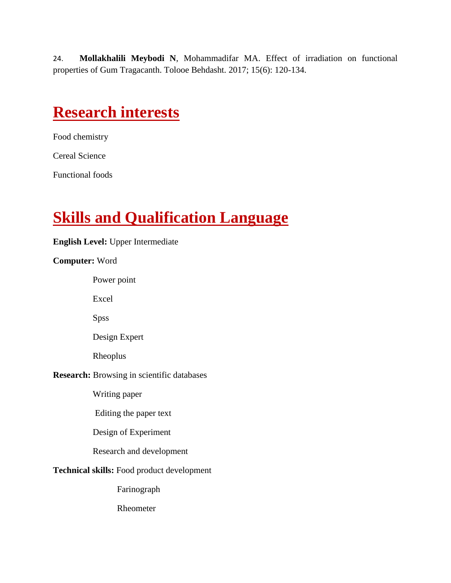24. **Mollakhalili Meybodi N**, Mohammadifar MA. Effect of irradiation on functional properties of Gum Tragacanth. Tolooe Behdasht. 2017; 15(6): 120-134.

### **Research interests**

Food chemistry

Cereal Science

Functional foods

# **Skills and Qualification Language**

#### **English Level:** Upper Intermediate

#### **Computer:** Word

Power point

Excel

Spss

Design Expert

Rheoplus

#### **Research:** Browsing in scientific databases

Writing paper

Editing the paper text

Design of Experiment

Research and development

#### **Technical skills:** Food product development

Farinograph

Rheometer